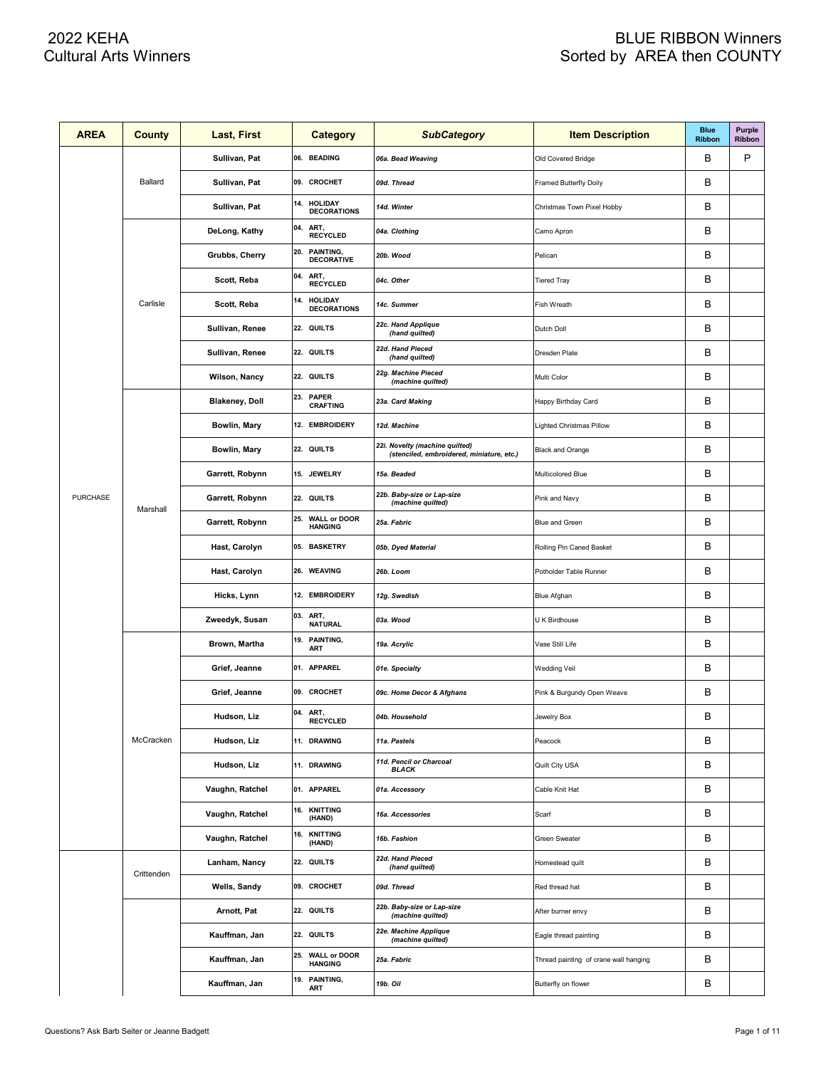| <b>AREA</b>     | <b>County</b> | Last, First           |     | <b>Category</b>                       | <b>SubCategory</b>                                                          | <b>Item Description</b>               | <b>Blue</b><br><b>Ribbon</b> | <b>Purple</b><br>Ribbon |
|-----------------|---------------|-----------------------|-----|---------------------------------------|-----------------------------------------------------------------------------|---------------------------------------|------------------------------|-------------------------|
|                 |               | Sullivan, Pat         |     | 06. BEADING                           | 06a. Bead Weaving                                                           | Old Covered Bridge                    | в                            | P                       |
|                 | Ballard       | Sullivan, Pat         |     | 09. CROCHET                           | 09d. Thread                                                                 | <b>Framed Butterfly Doily</b>         | в                            |                         |
|                 |               | Sullivan, Pat         |     | 14. HOLIDAY<br><b>DECORATIONS</b>     | 14d. Winter                                                                 | Christmas Town Pixel Hobby            | B                            |                         |
|                 |               | DeLong, Kathy         | 04. | ART,<br><b>RECYCLED</b>               | 04a. Clothing                                                               | Camo Apron                            | в                            |                         |
|                 |               | Grubbs, Cherry        | 20. | PAINTING,<br><b>DECORATIVE</b>        | 20b. Wood                                                                   | Pelican                               | B                            |                         |
|                 |               | Scott, Reba           | 04. | ART,<br><b>RECYCLED</b>               | 04c. Other                                                                  | <b>Tiered Tray</b>                    | B                            |                         |
|                 | Carlisle      | Scott, Reba           | 14. | <b>HOLIDAY</b><br><b>DECORATIONS</b>  | 14c. Summer                                                                 | Fish Wreath                           | B                            |                         |
|                 |               | Sullivan, Renee       |     | 22. QUILTS                            | 22c. Hand Applique<br>(hand quilted)                                        | Dutch Doll                            | B                            |                         |
|                 |               | Sullivan, Renee       |     | 22. QUILTS                            | 22d. Hand Pieced<br>(hand quilted)                                          | Dresden Plate                         | B                            |                         |
|                 |               | Wilson, Nancy         |     | 22. QUILTS                            | 22g. Machine Pieced<br>(machine quilted)                                    | Multi Color                           | B                            |                         |
|                 |               | <b>Blakeney, Doll</b> |     | 23. PAPER<br><b>CRAFTING</b>          | 23a. Card Making                                                            | Happy Birthday Card                   | B                            |                         |
|                 |               | Bowlin, Mary          |     | 12. EMBROIDERY                        | 12d. Machine                                                                | Lighted Christmas Pillow              | B                            |                         |
|                 | Marshall      | Bowlin, Mary          |     | 22. QUILTS                            | 22i. Novelty (machine quilted)<br>(stenciled, embroidered, miniature, etc.) | Black and Orange                      | B                            |                         |
|                 |               | Garrett, Robynn       |     | 15. JEWELRY                           | 15a. Beaded                                                                 | Multicolored Blue                     | B                            |                         |
| <b>PURCHASE</b> |               | Garrett, Robynn       |     | 22. QUILTS                            | 22b. Baby-size or Lap-size<br>(machine quilted)                             | Pink and Navy                         | B                            |                         |
|                 |               | Garrett, Robynn       | 25. | <b>WALL or DOOR</b><br><b>HANGING</b> | 25a. Fabric                                                                 | Blue and Green                        | B                            |                         |
|                 |               | Hast, Carolyn         |     | 05. BASKETRY                          | 05b. Dyed Material                                                          | Rolling Pin Caned Basket              | B                            |                         |
|                 |               | Hast, Carolyn         |     | 26. WEAVING                           | 26b. Loom                                                                   | Potholder Table Runner                | B                            |                         |
|                 |               | Hicks, Lynn           |     | 12. EMBROIDERY                        | 12g. Swedish                                                                | Blue Afghan                           | B                            |                         |
|                 |               | Zweedyk, Susan        | 03. | ART,<br><b>NATURAL</b>                | 03a. Wood                                                                   | U K Birdhouse                         | B                            |                         |
|                 |               | Brown, Martha         | 19. | PAINTING,<br>ART                      | 19a. Acrylic                                                                | Vase Still Life                       | B                            |                         |
|                 |               | Grief, Jeanne         |     | 01. APPAREL                           | 01e. Specialty                                                              | <b>Wedding Veil</b>                   | B                            |                         |
|                 |               | Grief, Jeanne         |     | 09. CROCHET                           | 09c. Home Decor & Afghans                                                   | Pink & Burgundy Open Weave            | B                            |                         |
|                 |               | Hudson, Liz           |     | 04. ART,<br>RECYCLED                  | 04b. Household                                                              | Jewelry Box                           | B                            |                         |
|                 | McCracken     | Hudson, Liz           |     | 11. DRAWING                           | 11a. Pastels                                                                | Peacock                               | в                            |                         |
|                 |               | Hudson, Liz           |     | 11. DRAWING                           | 11d. Pencil or Charcoal<br><b>BLACK</b>                                     | Quilt City USA                        | В                            |                         |
|                 |               | Vaughn, Ratchel       |     | 01. APPAREL                           | 01a. Accessory                                                              | Cable Knit Hat                        | В                            |                         |
|                 |               | Vaughn, Ratchel       |     | 16. KNITTING<br>(HAND)                | 16a. Accessories                                                            | Scarf                                 | В                            |                         |
|                 |               | Vaughn, Ratchel       |     | 16. KNITTING<br>(HAND)                | 16b. Fashion                                                                | <b>Green Sweater</b>                  | В                            |                         |
|                 |               | Lanham, Nancy         |     | 22. QUILTS                            | 22d. Hand Pieced<br>(hand quilted)                                          | Homestead quilt                       | В                            |                         |
|                 | Crittenden    | Wells, Sandy          |     | 09. CROCHET                           | 09d. Thread                                                                 | Red thread hat                        | В                            |                         |
|                 |               | Arnott, Pat           |     | 22. QUILTS                            | 22b. Baby-size or Lap-size<br>(machine quilted)                             | After burner envy                     | В                            |                         |
|                 |               | Kauffman, Jan         |     | 22. QUILTS                            | 22e. Machine Applique<br>(machine quilted)                                  | Eagle thread painting                 | В                            |                         |
|                 |               | Kauffman, Jan         | 25. | <b>WALL or DOOR</b><br><b>HANGING</b> | 25a. Fabric                                                                 | Thread painting of crane wall hanging | В                            |                         |
|                 |               | Kauffman, Jan         |     | 19. PAINTING,<br>ART                  | 19b. Oil                                                                    | Butterfly on flower                   | В                            |                         |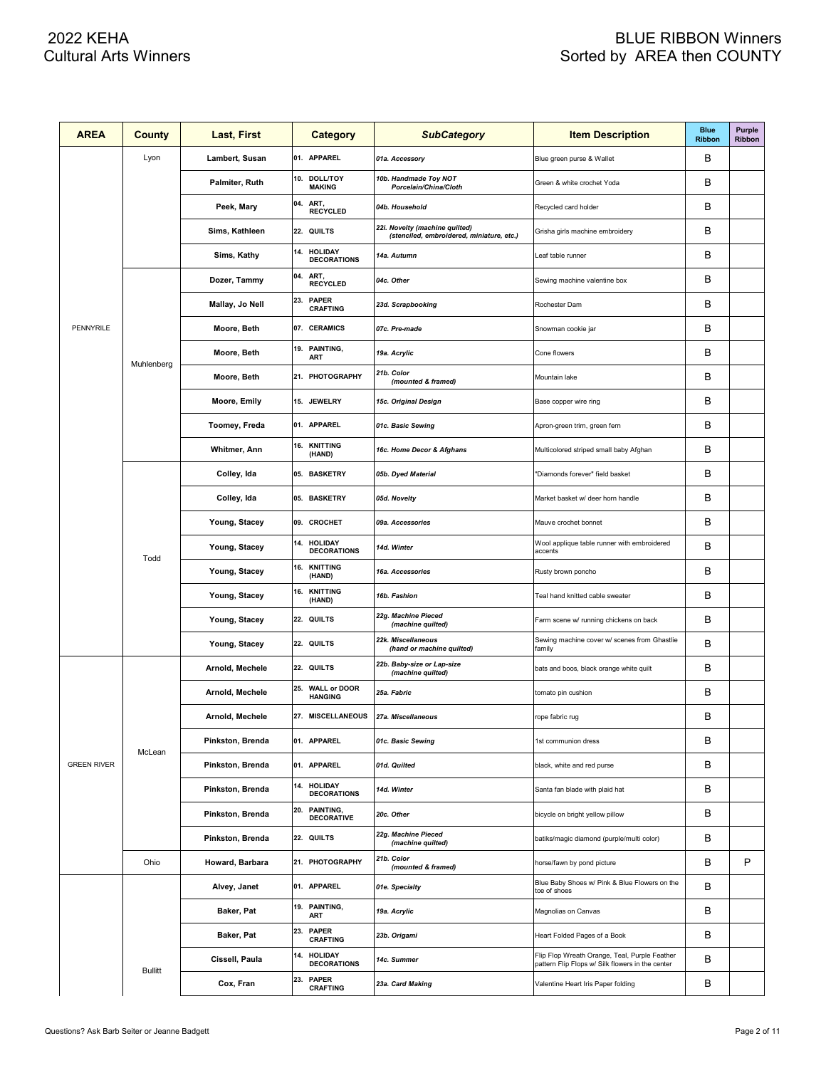| <b>AREA</b>        | County         | Last, First      |     | <b>Category</b>                      | <b>SubCategory</b>                                                          | <b>Item Description</b>                                                                           | <b>Blue</b><br><b>Ribbon</b> | <b>Purple</b><br>Ribbon |
|--------------------|----------------|------------------|-----|--------------------------------------|-----------------------------------------------------------------------------|---------------------------------------------------------------------------------------------------|------------------------------|-------------------------|
|                    | Lyon           | Lambert, Susan   |     | 01. APPAREL                          | 01a. Accessory                                                              | Blue green purse & Wallet                                                                         | в                            |                         |
|                    |                | Palmiter, Ruth   |     | 10. DOLL/TOY<br><b>MAKING</b>        | 10b. Handmade Toy NOT<br>Porcelain/China/Cloth                              | Green & white crochet Yoda                                                                        | в                            |                         |
|                    |                | Peek, Mary       |     | 04. ART,<br><b>RECYCLED</b>          | 04b. Household                                                              | Recycled card holder                                                                              | в                            |                         |
|                    |                | Sims, Kathleen   |     | 22. QUILTS                           | 22i. Novelty (machine quilted)<br>(stenciled, embroidered, miniature, etc.) | Grisha girls machine embroidery                                                                   | в                            |                         |
|                    |                | Sims, Kathy      |     | 14. HOLIDAY<br><b>DECORATIONS</b>    | 14a. Autumn                                                                 | Leaf table runner                                                                                 | в                            |                         |
|                    |                | Dozer, Tammy     | 04. | ART,<br><b>RECYCLED</b>              | 04c. Other                                                                  | Sewing machine valentine box                                                                      | в                            |                         |
|                    |                | Mallay, Jo Nell  | 23. | <b>PAPER</b><br><b>CRAFTING</b>      | 23d. Scrapbooking                                                           | Rochester Dam                                                                                     | в                            |                         |
| PENNYRILE          |                | Moore, Beth      |     | 07. CERAMICS                         | 07c. Pre-made                                                               | Snowman cookie jar                                                                                | в                            |                         |
|                    | Muhlenberg     | Moore, Beth      |     | 19. PAINTING,<br><b>ART</b>          | 19a. Acrylic                                                                | Cone flowers                                                                                      | в                            |                         |
|                    |                | Moore, Beth      |     | 21. PHOTOGRAPHY                      | 21b. Color<br>(mounted & framed)                                            | Mountain lake                                                                                     | в                            |                         |
|                    |                | Moore, Emily     |     | 15. JEWELRY                          | 15c. Original Design                                                        | Base copper wire ring                                                                             | в                            |                         |
|                    |                | Toomey, Freda    |     | 01. APPAREL                          | 01c. Basic Sewing                                                           | Apron-green trim, green fern                                                                      | в                            |                         |
|                    |                | Whitmer, Ann     |     | 16. KNITTING<br>(HAND)               | 16c. Home Decor & Afghans                                                   | Multicolored striped small baby Afghan                                                            | в                            |                         |
|                    |                | Colley, Ida      |     | 05. BASKETRY                         | 05b. Dyed Material                                                          | "Diamonds forever" field basket                                                                   | в                            |                         |
|                    |                | Colley, Ida      |     | 05. BASKETRY                         | 05d. Novelty                                                                | Market basket w/ deer horn handle                                                                 | в                            |                         |
|                    |                | Young, Stacey    |     | 09. CROCHET                          | 09a. Accessories                                                            | Mauve crochet bonnet                                                                              | в                            |                         |
|                    | Todd           | Young, Stacey    |     | 14. HOLIDAY<br><b>DECORATIONS</b>    | 14d. Winter                                                                 | Wool applique table runner with embroidered<br>accents                                            | в                            |                         |
|                    |                | Young, Stacey    | 16. | <b>KNITTING</b><br>(HAND)            | 16a. Accessories                                                            | Rusty brown poncho                                                                                | в                            |                         |
|                    |                | Young, Stacey    | 16. | <b>KNITTING</b><br>(HAND)            | 16b. Fashion                                                                | Teal hand knitted cable sweater                                                                   | в                            |                         |
|                    |                | Young, Stacey    |     | 22. QUILTS                           | 22g. Machine Pieced<br>(machine quilted)                                    | Farm scene w/ running chickens on back                                                            | в                            |                         |
|                    |                | Young, Stacey    |     | 22. QUILTS                           | 22k. Miscellaneous<br>(hand or machine quilted)                             | Sewing machine cover w/ scenes from Ghastlie<br>family                                            | в                            |                         |
|                    |                | Arnold, Mechele  |     | 22. QUILTS                           | 22b. Baby-size or Lap-size<br>(machine quilted)                             | bats and boos, black orange white quilt                                                           | в                            |                         |
|                    |                | Arnold, Mechele  |     | 25. WALL or DOOR<br><b>HANGING</b>   | 25a. Fabric                                                                 | tomato pin cushion                                                                                | в                            |                         |
|                    |                | Arnold, Mechele  |     | 27. MISCELLANEOUS                    | 27a. Miscellaneous                                                          | rope fabric rug                                                                                   | в                            |                         |
|                    | McLean         | Pinkston, Brenda |     | 01. APPAREL                          | 01c. Basic Sewing                                                           | 1st communion dress                                                                               | в                            |                         |
| <b>GREEN RIVER</b> |                | Pinkston, Brenda |     | 01. APPAREL                          | 01d. Quilted                                                                | black, white and red purse                                                                        | в                            |                         |
|                    |                | Pinkston, Brenda | 14. | <b>HOLIDAY</b><br><b>DECORATIONS</b> | 14d. Winter                                                                 | Santa fan blade with plaid hat                                                                    | в                            |                         |
|                    |                | Pinkston, Brenda | 20. | PAINTING,<br><b>DECORATIVE</b>       | 20c. Other                                                                  | bicycle on bright yellow pillow                                                                   | в                            |                         |
|                    |                | Pinkston, Brenda |     | 22. QUILTS                           | 22g. Machine Pieced<br>(machine quilted)                                    | batiks/magic diamond (purple/multi color)                                                         | в                            |                         |
|                    | Ohio           | Howard, Barbara  |     | 21. PHOTOGRAPHY                      | 21b. Color<br>(mounted & framed)                                            | horse/fawn by pond picture                                                                        | в                            | P                       |
|                    |                | Alvey, Janet     |     | 01. APPAREL                          | 01e. Specialty                                                              | Blue Baby Shoes w/ Pink & Blue Flowers on the<br>toe of shoes                                     | в                            |                         |
|                    |                | Baker, Pat       |     | 19. PAINTING,<br>ART                 | 19a. Acrylic                                                                | Magnolias on Canvas                                                                               | В                            |                         |
|                    |                | Baker, Pat       | 23. | <b>PAPER</b><br><b>CRAFTING</b>      | 23b. Origami                                                                | Heart Folded Pages of a Book                                                                      | в                            |                         |
|                    |                | Cissell, Paula   | 14. | <b>HOLIDAY</b><br><b>DECORATIONS</b> | 14c. Summer                                                                 | Flip Flop Wreath Orange, Teal, Purple Feather<br>pattern Flip Flops w/ Silk flowers in the center | в                            |                         |
|                    | <b>Bullitt</b> | Cox, Fran        | 23. | <b>PAPER</b><br><b>CRAFTING</b>      | 23a. Card Making                                                            | Valentine Heart Iris Paper folding                                                                | в                            |                         |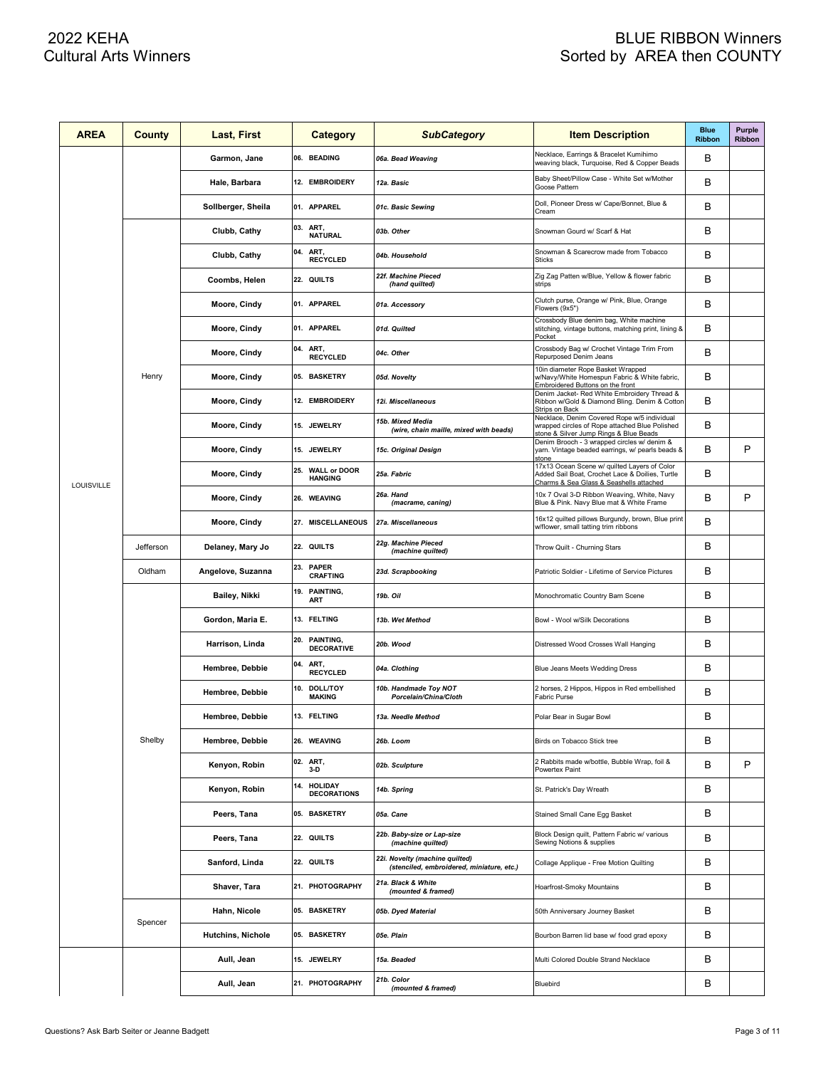| <b>AREA</b> | <b>County</b> | Last, First              |     | <b>Category</b>                       | <b>SubCategory</b>                                                          | <b>Item Description</b>                                                                                                                    | <b>Blue</b><br><b>Ribbon</b> | Purple<br>Ribbon |
|-------------|---------------|--------------------------|-----|---------------------------------------|-----------------------------------------------------------------------------|--------------------------------------------------------------------------------------------------------------------------------------------|------------------------------|------------------|
|             |               | Garmon, Jane             |     | 06. BEADING                           | 06a. Bead Weaving                                                           | Necklace, Earrings & Bracelet Kumihimo<br>weaving black, Turquoise, Red & Copper Beads                                                     | B                            |                  |
|             |               | Hale, Barbara            |     | 12. EMBROIDERY                        | 12a. Basic                                                                  | Baby Sheet/Pillow Case - White Set w/Mother<br>Goose Pattern                                                                               | в                            |                  |
|             |               | Sollberger, Sheila       |     | 01. APPAREL                           | 01c. Basic Sewing                                                           | Doll, Pioneer Dress w/ Cape/Bonnet, Blue &<br>Cream                                                                                        | B                            |                  |
|             |               | Clubb, Cathy             | 03. | ART,<br><b>NATURAL</b>                | 03b. Other                                                                  | Snowman Gourd w/ Scarf & Hat                                                                                                               | в                            |                  |
|             |               | Clubb, Cathy             | 04. | ART,<br><b>RECYCLED</b>               | 04b. Household                                                              | Snowman & Scarecrow made from Tobacco<br><b>Sticks</b>                                                                                     | B                            |                  |
|             |               | Coombs, Helen            |     | 22. QUILTS                            | 22f. Machine Pieced<br>(hand quilted)                                       | Zig Zag Patten w/Blue, Yellow & flower fabric<br>strips                                                                                    | в                            |                  |
|             |               | Moore, Cindy             |     | 01. APPAREL                           | 01a. Accessory                                                              | Clutch purse, Orange w/ Pink, Blue, Orange<br>Flowers (9x5")                                                                               | в                            |                  |
|             |               | Moore, Cindy             |     | 01. APPAREL                           | 01d. Quilted                                                                | Crossbody Blue denim bag, White machine<br>stitching, vintage buttons, matching print, lining &<br>Pocket                                  | в                            |                  |
|             |               | Moore, Cindy             |     | 04. ART,<br><b>RECYCLED</b>           | 04c. Other                                                                  | Crossbody Bag w/ Crochet Vintage Trim From<br>Repurposed Denim Jeans                                                                       | в                            |                  |
|             | Henry         | Moore, Cindy             |     | 05. BASKETRY                          | 05d. Novelty                                                                | 10in diameter Rope Basket Wrapped<br>w/Navy/White Homespun Fabric & White fabric,<br>Embroidered Buttons on the front                      | в                            |                  |
|             |               | Moore, Cindy             |     | 12. EMBROIDERY                        | 12i. Miscellaneous                                                          | Denim Jacket- Red White Embroidery Thread &<br>Ribbon w/Gold & Diamond Bling. Denim & Cotton<br>Strips on Back                             | в                            |                  |
|             |               | Moore, Cindy             |     | 15. JEWELRY                           | 15b. Mixed Media<br>(wire, chain maille, mixed with beads)                  | Necklace, Denim Covered Rope w/5 individual<br>wrapped circles of Rope attached Blue Polished<br>stone & Silver Jump Rings & Blue Beads    | в                            |                  |
|             |               | Moore, Cindy             |     | 15. JEWELRY                           | 15c. Original Design                                                        | Denim Brooch - 3 wrapped circles w/ denim &<br>yarn. Vintage beaded earrings, w/ pearls beads &<br>stone                                   | в                            | P                |
| LOUISVILLE  |               | Moore, Cindy             | 25. | <b>WALL or DOOR</b><br><b>HANGING</b> | 25a. Fabric                                                                 | 17x13 Ocean Scene w/ quilted Layers of Color<br>Added Sail Boat, Crochet Lace & Doilies, Turtle<br>Charms & Sea Glass & Seashells attached | в                            |                  |
|             |               | Moore, Cindy             |     | 26. WEAVING                           | 26a. Hand<br>(macrame, caning)                                              | 10x 7 Oval 3-D Ribbon Weaving, White, Navy<br>Blue & Pink. Navy Blue mat & White Frame                                                     | в                            | P                |
|             |               | Moore, Cindy             |     | 27. MISCELLANEOUS                     | 27a. Miscellaneous                                                          | 16x12 quilted pillows Burgundy, brown, Blue print<br>w/flower, small tatting trim ribbons                                                  | в                            |                  |
|             | Jefferson     | Delaney, Mary Jo         |     | 22. QUILTS                            | 22g. Machine Pieced<br>(machine quilted)                                    | Throw Quilt - Churning Stars                                                                                                               | в                            |                  |
|             | Oldham        | Angelove, Suzanna        | 23. | <b>PAPER</b><br><b>CRAFTING</b>       | 23d. Scrapbooking                                                           | Patriotic Soldier - Lifetime of Service Pictures                                                                                           | в                            |                  |
|             |               | Bailey, Nikki            | 19. | PAINTING,<br>ART                      | 19b. Oil                                                                    | Monochromatic Country Barn Scene                                                                                                           | в                            |                  |
|             |               | Gordon, Maria E.         |     | 13. FELTING                           | 13b. Wet Method                                                             | Bowl - Wool w/Silk Decorations                                                                                                             | в                            |                  |
|             |               | Harrison, Linda          | 20. | PAINTING,<br><b>DECORATIVE</b>        | 20b. Wood                                                                   | Distressed Wood Crosses Wall Hanging                                                                                                       | в                            |                  |
|             |               | Hembree, Debbie          | 04. | ART,<br><b>RECYCLED</b>               | 04a. Clothing                                                               | Blue Jeans Meets Wedding Dress                                                                                                             | в                            |                  |
|             |               | Hembree, Debbie          | 10. | <b>DOLL/TOY</b><br><b>MAKING</b>      | 10b. Handmade Toy NOT<br>Porcelain/China/Cloth                              | 2 horses, 2 Hippos, Hippos in Red embellished<br>Fabric Purse                                                                              | в                            |                  |
|             |               | Hembree, Debbie          |     | 13. FELTING                           | 13a. Needle Method                                                          | Polar Bear in Sugar Bowl                                                                                                                   | B                            |                  |
|             | Shelby        | Hembree, Debbie          |     | 26. WEAVING                           | 26b. Loom                                                                   | Birds on Tobacco Stick tree                                                                                                                | в                            |                  |
|             |               | Kenyon, Robin            |     | 02. ART,<br>$3-D$                     | 02b. Sculpture                                                              | 2 Rabbits made w/bottle, Bubble Wrap, foil &<br>Powertex Paint                                                                             | B                            | P                |
|             |               | Kenyon, Robin            | 14. | <b>HOLIDAY</b><br><b>DECORATIONS</b>  | 14b. Spring                                                                 | St. Patrick's Day Wreath                                                                                                                   | В                            |                  |
|             |               | Peers, Tana              |     | 05. BASKETRY                          | 05a. Cane                                                                   | Stained Small Cane Egg Basket                                                                                                              | В                            |                  |
|             |               | Peers, Tana              |     | 22. QUILTS                            | 22b. Baby-size or Lap-size<br>(machine quilted)                             | Block Design quilt, Pattern Fabric w/ various<br>Sewing Notions & supplies                                                                 | В                            |                  |
|             |               | Sanford, Linda           |     | 22. QUILTS                            | 22i. Novelty (machine quilted)<br>(stenciled, embroidered, miniature, etc.) | Collage Applique - Free Motion Quilting                                                                                                    | В                            |                  |
|             |               | Shaver, Tara             |     | 21. PHOTOGRAPHY                       | 21a. Black & White<br>(mounted & framed)                                    | Hoarfrost-Smoky Mountains                                                                                                                  | В                            |                  |
|             | Spencer       | Hahn, Nicole             |     | 05. BASKETRY                          | 05b. Dyed Material                                                          | 50th Anniversary Journey Basket                                                                                                            | В                            |                  |
|             |               | <b>Hutchins, Nichole</b> |     | 05. BASKETRY                          | 05e. Plain                                                                  | Bourbon Barren lid base w/ food grad epoxy                                                                                                 | В                            |                  |
|             |               | Aull, Jean               |     | 15. JEWELRY                           | 15a. Beaded                                                                 | Multi Colored Double Strand Necklace                                                                                                       | В                            |                  |
|             |               | Aull, Jean               |     | 21. PHOTOGRAPHY                       | 21b. Color<br>(mounted & framed)                                            | Bluebird                                                                                                                                   | В                            |                  |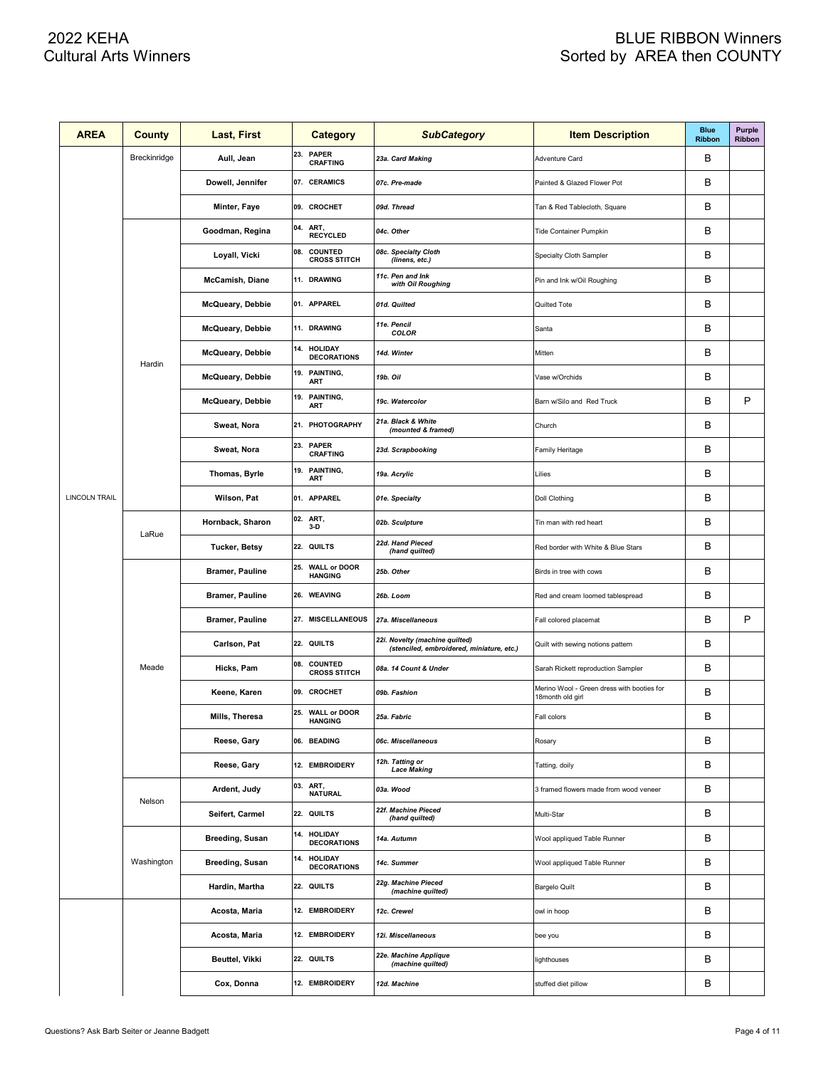| <b>AREA</b>          | County       | Last, First            | <b>Category</b>                             | <b>SubCategory</b>                                                          | <b>Item Description</b>                                        | <b>Blue</b><br><b>Ribbon</b> | Purple<br>Ribbon |
|----------------------|--------------|------------------------|---------------------------------------------|-----------------------------------------------------------------------------|----------------------------------------------------------------|------------------------------|------------------|
|                      | Breckinridge | Aull, Jean             | <b>PAPER</b><br>23.<br><b>CRAFTING</b>      | 23a. Card Making                                                            | Adventure Card                                                 | B                            |                  |
|                      |              | Dowell, Jennifer       | 07. CERAMICS                                | 07c. Pre-made                                                               | Painted & Glazed Flower Pot                                    | B                            |                  |
|                      |              | Minter, Faye           | 09. CROCHET                                 | 09d. Thread                                                                 | Tan & Red Tablecloth, Square                                   | B                            |                  |
|                      |              | Goodman, Regina        | 04.<br>ART,<br><b>RECYCLED</b>              | 04c. Other                                                                  | Tide Container Pumpkin                                         | B                            |                  |
|                      |              | Loyall, Vicki          | COUNTED<br>08.<br><b>CROSS STITCH</b>       | 08c. Specialty Cloth<br>(linens, etc.)                                      | Specialty Cloth Sampler                                        | B                            |                  |
|                      |              | McCamish, Diane        | 11. DRAWING                                 | 11c. Pen and Ink<br>with Oil Roughing                                       | Pin and Ink w/Oil Roughing                                     | в                            |                  |
|                      |              | McQueary, Debbie       | 01. APPAREL                                 | 01d. Quilted                                                                | Quilted Tote                                                   | B                            |                  |
|                      |              | McQueary, Debbie       | 11. DRAWING                                 | 11e. Pencil<br>COLOR                                                        | Santa                                                          | B                            |                  |
|                      | Hardin       | McQueary, Debbie       | 14.<br><b>HOLIDAY</b><br><b>DECORATIONS</b> | 14d. Winter                                                                 | Mitten                                                         | B                            |                  |
|                      |              | McQueary, Debbie       | PAINTING,<br>19.<br>ART                     | 19b. Oil                                                                    | Vase w/Orchids                                                 | B                            |                  |
|                      |              | McQueary, Debbie       | PAINTING,<br>19.<br>ART                     | 19c. Watercolor                                                             | Barn w/Silo and Red Truck                                      | B                            | P                |
|                      |              | Sweat, Nora            | 21. PHOTOGRAPHY                             | 21a. Black & White<br>(mounted & framed)                                    | Church                                                         | в                            |                  |
|                      |              | Sweat, Nora            | 23. PAPER<br><b>CRAFTING</b>                | 23d. Scrapbooking                                                           | Family Heritage                                                | В                            |                  |
|                      |              | Thomas, Byrle          | 19. PAINTING,<br>ART                        | 19a. Acrylic                                                                | Lilies                                                         | B                            |                  |
| <b>LINCOLN TRAIL</b> |              | Wilson, Pat            | 01. APPAREL                                 | 01e. Specialty                                                              | Doll Clothing                                                  | B                            |                  |
|                      | LaRue        | Hornback, Sharon       | 02.<br>ART,<br>$3-D$                        | 02b. Sculpture                                                              | Tin man with red heart                                         | B                            |                  |
|                      |              | Tucker, Betsy          | 22. QUILTS                                  | 22d. Hand Pieced<br>(hand quilted)                                          | Red border with White & Blue Stars                             | B                            |                  |
|                      |              | <b>Bramer, Pauline</b> | 25. WALL or DOOR<br><b>HANGING</b>          | 25b. Other                                                                  | Birds in tree with cows                                        | B                            |                  |
|                      |              | <b>Bramer, Pauline</b> | 26. WEAVING                                 | 26b. Loom                                                                   | Red and cream loomed tablespread                               | в                            |                  |
|                      |              | <b>Bramer, Pauline</b> | 27. MISCELLANEOUS                           | 27a. Miscellaneous                                                          | Fall colored placemat                                          | B                            | P                |
|                      |              | Carlson, Pat           | 22. QUILTS                                  | 22i. Novelty (machine quilted)<br>(stenciled, embroidered, miniature, etc.) | Quilt with sewing notions pattern                              | B                            |                  |
|                      | Meade        | Hicks, Pam             | COUNTED<br>08.<br><b>CROSS STITCH</b>       | 08a. 14 Count & Under                                                       | Sarah Rickett reproduction Sampler                             | B                            |                  |
|                      |              | Keene, Karen           | 09. CROCHET                                 | 09b. Fashion                                                                | Merino Wool - Green dress with booties for<br>18month old girl | В                            |                  |
|                      |              | Mills, Theresa         | 25. WALL or DOOR<br><b>HANGING</b>          | 25a. Fabric                                                                 | Fall colors                                                    | В                            |                  |
|                      |              | Reese, Gary            | 06. BEADING                                 | 06c. Miscellaneous                                                          | Rosary                                                         | В                            |                  |
|                      |              | Reese, Gary            | 12. EMBROIDERY                              | 12h. Tatting or<br><b>Lace Making</b>                                       | Tatting, doily                                                 | В                            |                  |
|                      | Nelson       | Ardent, Judy           | 03.<br>ART,<br><b>NATURAL</b>               | 03a. Wood                                                                   | 3 framed flowers made from wood veneer                         | В                            |                  |
|                      |              | Seifert, Carmel        | 22. QUILTS                                  | 22f. Machine Pieced<br>(hand quilted)                                       | Multi-Star                                                     | В                            |                  |
|                      |              | <b>Breeding, Susan</b> | 14. HOLIDAY<br><b>DECORATIONS</b>           | 14a. Autumn                                                                 | Wool appliqued Table Runner                                    | В                            |                  |
|                      | Washington   | <b>Breeding, Susan</b> | <b>HOLIDAY</b><br>14.<br><b>DECORATIONS</b> | 14c. Summer                                                                 | Wool appliqued Table Runner                                    | В                            |                  |
|                      |              | Hardin, Martha         | 22. QUILTS                                  | 22g. Machine Pieced<br>(machine quilted)                                    | <b>Bargelo Quilt</b>                                           | В                            |                  |
|                      |              | Acosta, Maria          | 12. EMBROIDERY                              | 12c. Crewel                                                                 | owl in hoop                                                    | В                            |                  |
|                      |              | Acosta, Maria          | 12. EMBROIDERY                              | 12i. Miscellaneous                                                          | bee you                                                        | В                            |                  |
|                      |              | Beuttel, Vikki         | 22. QUILTS                                  | 22e. Machine Applique<br>(machine quilted)                                  | ighthouses                                                     | В                            |                  |
|                      |              | Cox, Donna             | 12. EMBROIDERY                              | 12d. Machine                                                                | stuffed diet pillow                                            | В                            |                  |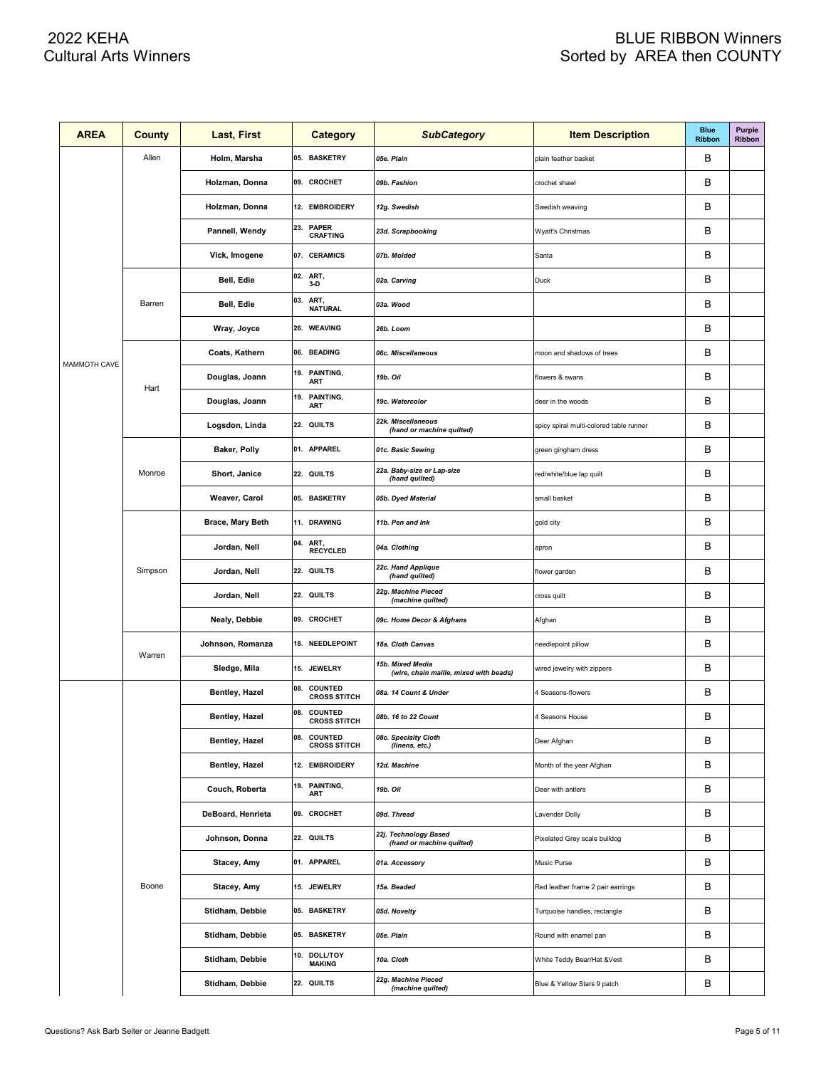| <b>AREA</b>  | <b>County</b> | Last, First       | <b>Category</b>                        | <b>SubCategory</b>                                         | <b>Item Description</b>                 | <b>Blue</b><br><b>Ribbon</b> | Purple<br>Ribbon |
|--------------|---------------|-------------------|----------------------------------------|------------------------------------------------------------|-----------------------------------------|------------------------------|------------------|
|              | Allen         | Holm, Marsha      | 05. BASKETRY                           | 05e. Plain                                                 | plain feather basket                    | в                            |                  |
|              |               | Holzman, Donna    | 09. CROCHET                            | 09b. Fashion                                               | crochet shawl                           | B                            |                  |
|              |               | Holzman, Donna    | 12. EMBROIDERY                         | 12g. Swedish                                               | Swedish weaving                         | В                            |                  |
|              |               | Pannell, Wendy    | 23.<br><b>PAPER</b><br><b>CRAFTING</b> | 23d. Scrapbooking                                          | Wyatt's Christmas                       | B                            |                  |
|              |               | Vick, Imogene     | 07. CERAMICS                           | 07b. Molded                                                | Santa                                   | B                            |                  |
|              |               | Bell, Edie        | 02. ART,<br>$3-D$                      | 02a. Carving                                               | Duck                                    | B                            |                  |
|              | Barren        | Bell, Edie        | ART,<br>03.<br><b>NATURAL</b>          | 03a. Wood                                                  |                                         | B                            |                  |
|              |               | Wray, Joyce       | 26. WEAVING                            | 26b. Loom                                                  |                                         | B                            |                  |
|              |               | Coats, Kathern    | 06. BEADING                            | 06c. Miscellaneous                                         | moon and shadows of trees               | B                            |                  |
| MAMMOTH CAVE |               | Douglas, Joann    | PAINTING,<br>19.<br><b>ART</b>         | 19b. Oil                                                   | flowers & swans                         | B                            |                  |
|              | Hart          | Douglas, Joann    | 19.<br>PAINTING,<br>ART                | 19c. Watercolor                                            | deer in the woods                       | B                            |                  |
|              |               | Logsdon, Linda    | 22. QUILTS                             | 22k. Miscellaneous<br>(hand or machine quilted)            | spicy spiral multi-colored table runner | В                            |                  |
|              | Monroe        | Baker, Polly      | 01. APPAREL                            | 01c. Basic Sewing                                          | green gingham dress                     | В                            |                  |
|              |               | Short, Janice     | 22. QUILTS                             | 22a. Baby-size or Lap-size<br>(hand quilted)               | red/white/blue lap quilt                | В                            |                  |
|              |               | Weaver, Carol     | 05. BASKETRY                           | 05b. Dyed Material                                         | small basket                            | В                            |                  |
|              |               | Brace, Mary Beth  | 11. DRAWING                            | 11b. Pen and Ink                                           | gold city                               | В                            |                  |
|              | Simpson       | Jordan, Nell      | 04. ART,<br><b>RECYCLED</b>            | 04a. Clothing                                              | apron                                   | B                            |                  |
|              |               | Jordan, Nell      | 22. QUILTS                             | 22c. Hand Applique<br>(hand quilted)                       | flower garden                           | B                            |                  |
|              |               | Jordan, Nell      | 22. QUILTS                             | 22g. Machine Pieced<br>(machine quilted)                   | cross quilt                             | B                            |                  |
|              |               | Nealy, Debbie     | 09. CROCHET                            | 09c. Home Decor & Afghans                                  | Afghan                                  | B                            |                  |
|              | Warren        | Johnson, Romanza  | 18. NEEDLEPOINT                        | 18a. Cloth Canvas                                          | needlepoint pillow                      | B                            |                  |
|              |               | Sledge, Mila      | 15. JEWELRY                            | 15b. Mixed Media<br>(wire, chain maille, mixed with beads) | wired jewelry with zippers              | B                            |                  |
|              |               | Bentley, Hazel    | 08. COUNTED<br><b>CROSS STITCH</b>     | 08a. 14 Count & Under                                      | 4 Seasons-flowers                       | B                            |                  |
|              |               | Bentley, Hazel    | 08. COUNTED<br><b>CROSS SILICH</b>     | 08b. 16 to 22 Count                                        | 4 Seasons House                         | B                            |                  |
|              |               | Bentley, Hazel    | 08. COUNTED<br><b>CROSS STITCH</b>     | 08c. Specialty Cloth<br>(linens, etc.)                     | Deer Afghan                             | В                            |                  |
|              |               | Bentley, Hazel    | 12. EMBROIDERY                         | 12d. Machine                                               | Month of the year Afghan                | В                            |                  |
|              |               | Couch, Roberta    | 19. PAINTING,<br>ART                   | 19b. Oil                                                   | Deer with antlers                       | В                            |                  |
|              |               | DeBoard, Henrieta | 09. CROCHET                            | 09d. Thread                                                | Lavender Doily                          | В                            |                  |
|              |               | Johnson, Donna    | 22. QUILTS                             | 22j. Technology Based<br>(hand or machine quilted)         | Pixelated Grey scale bulldog            | В                            |                  |
|              |               | Stacey, Amy       | 01. APPAREL                            | 01a. Accessory                                             | Music Purse                             | В                            |                  |
|              | Boone         | Stacey, Amy       | 15. JEWELRY                            | 15a. Beaded                                                | Red leather frame 2 pair earrings       | в                            |                  |
|              |               | Stidham, Debbie   | 05. BASKETRY                           | 05d. Novelty                                               | Turquoise handles, rectangle            | В                            |                  |
|              |               | Stidham, Debbie   | 05. BASKETRY                           | 05e. Plain                                                 | Round with enamel pan                   | в                            |                  |
|              |               | Stidham, Debbie   | 10. DOLL/TOY<br><b>MAKING</b>          | 10a. Cloth                                                 | White Teddy Bear/Hat &Vest              | в                            |                  |
|              |               | Stidham, Debbie   | 22. QUILTS                             | 22g. Machine Pieced<br>(machine quilted)                   | Blue & Yellow Stars 9 patch             | в                            |                  |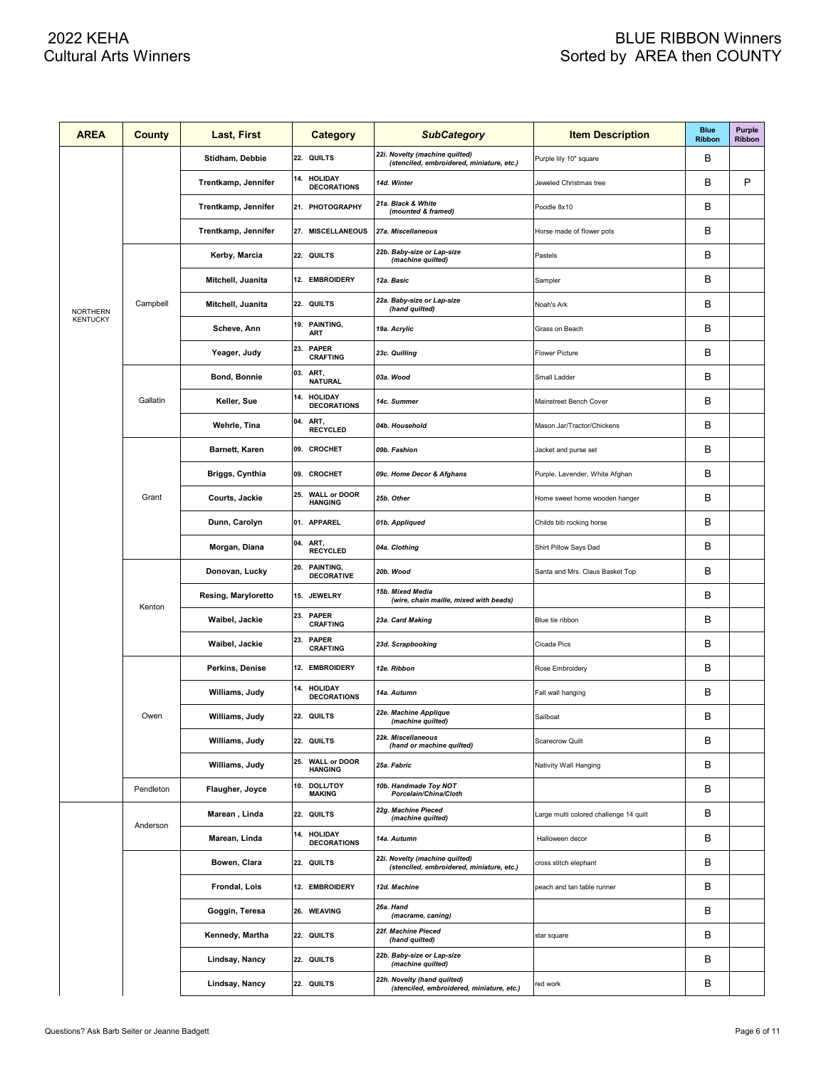| <b>AREA</b>     | County    | Last, First            | Category                                     | <b>SubCategory</b>                                                          | <b>Item Description</b>                | <b>Blue</b><br><b>Ribbon</b> | Purple<br>Ribbon |
|-----------------|-----------|------------------------|----------------------------------------------|-----------------------------------------------------------------------------|----------------------------------------|------------------------------|------------------|
|                 |           | Stidham, Debbie        | 22. QUILTS                                   | 22i. Novelty (machine quilted)<br>(stenciled, embroidered, miniature, etc.) | Purple lily 10" square                 | B                            |                  |
|                 |           | Trentkamp, Jennifer    | <b>HOLIDAY</b><br>14.<br><b>DECORATIONS</b>  | 14d. Winter                                                                 | Jeweled Christmas tree                 | в                            | P                |
|                 |           | Trentkamp, Jennifer    | 21. PHOTOGRAPHY                              | 21a. Black & White<br>(mounted & framed)                                    | Poodle 8x10                            | B                            |                  |
|                 |           | Trentkamp, Jennifer    | 27. MISCELLANEOUS                            | 27a. Miscellaneous                                                          | Horse made of flower pots              | B                            |                  |
|                 |           | Kerby, Marcia          | 22. QUILTS                                   | 22b. Baby-size or Lap-size<br>(machine quilted)                             | Pastels                                | B                            |                  |
|                 |           | Mitchell, Juanita      | 12. EMBROIDERY                               | 12a. Basic                                                                  | Sampler                                | B                            |                  |
| <b>NORTHERN</b> | Campbell  | Mitchell, Juanita      | 22. QUILTS                                   | 22a. Baby-size or Lap-size<br>(hand quilted)                                | Noah's Ark                             | B                            |                  |
| <b>KENTUCKY</b> |           | Scheve, Ann            | 19. PAINTING,<br><b>ART</b>                  | 19a. Acrylic                                                                | Grass on Beach                         | B                            |                  |
|                 |           | Yeager, Judy           | 23.<br><b>PAPER</b><br><b>CRAFTING</b>       | 23c. Quilling                                                               | <b>Flower Picture</b>                  | B                            |                  |
|                 |           | Bond, Bonnie           | 03.<br>ART,<br><b>NATURAL</b>                | 03a. Wood                                                                   | Small Ladder                           | B                            |                  |
|                 | Gallatin  | Keller, Sue            | 14.<br><b>HOLIDAY</b><br><b>DECORATIONS</b>  | 14c. Summer                                                                 | Mainstreet Bench Cover                 | B                            |                  |
|                 |           | Wehrle, Tina           | 04.<br>ART,<br><b>RECYCLED</b>               | 04b. Household                                                              | Mason Jar/Tractor/Chickens             | B                            |                  |
|                 |           | <b>Barnett, Karen</b>  | 09. CROCHET                                  | 09b. Fashion                                                                | Jacket and purse set                   | B                            |                  |
|                 |           | <b>Briggs, Cynthia</b> | 09. CROCHET                                  | 09c. Home Decor & Afghans                                                   | Purple, Lavender, White Afghan         | B                            |                  |
|                 | Grant     | Courts, Jackie         | 25.<br><b>WALL or DOOR</b><br><b>HANGING</b> | 25b. Other                                                                  | Home sweet home wooden hanger          | B                            |                  |
|                 |           | Dunn, Carolyn          | 01. APPAREL                                  | 01b. Appliqued                                                              | Childs bib rocking horse               | B                            |                  |
|                 |           | Morgan, Diana          | 04.<br>ART,<br><b>RECYCLED</b>               | 04a. Clothing                                                               | Shirt Pillow Says Dad                  | B                            |                  |
|                 |           | Donovan, Lucky         | 20.<br>PAINTING,<br><b>DECORATIVE</b>        | 20b. Wood                                                                   | Santa and Mrs. Claus Basket Top        | B                            |                  |
|                 | Kenton    | Resing, Maryloretto    | 15. JEWELRY                                  | 15b. Mixed Media<br>(wire, chain maille, mixed with beads)                  |                                        | B                            |                  |
|                 |           | Waibel, Jackie         | 23.<br><b>PAPER</b><br><b>CRAFTING</b>       | 23a. Card Making                                                            | Blue tie ribbon                        | B                            |                  |
|                 |           | Waibel, Jackie         | 23.<br><b>PAPER</b><br><b>CRAFTING</b>       | 23d. Scrapbooking                                                           | Cicada Pics                            | B                            |                  |
|                 |           | Perkins, Denise        | 12. EMBROIDERY                               | 12e. Ribbon                                                                 | Rose Embroidery                        | B                            |                  |
|                 |           | Williams, Judy         | <b>HOLIDAY</b><br>14.<br><b>DECORATIONS</b>  | 14a. Autumn                                                                 | Fall wall hanging                      | B                            |                  |
|                 | Owen      | Williams, Judy         | 22. QUILTS                                   | 22e. Machine Applique<br>(machine quilted)                                  | Sailboat                               | B                            |                  |
|                 |           | Williams, Judy         | 22. QUILTS                                   | 22k. Miscellaneous<br>(hand or machine quilted)                             | Scarecrow Quilt                        | В                            |                  |
|                 |           | Williams, Judy         | 25. WALL or DOOR<br><b>HANGING</b>           | 25a. Fabric                                                                 | Nativity Wall Hanging                  | В                            |                  |
|                 | Pendleton | Flaugher, Joyce        | <b>DOLL/TOY</b><br>10.<br><b>MAKING</b>      | 10b. Handmade Toy NOT<br>Porcelain/China/Cloth                              |                                        | В                            |                  |
|                 | Anderson  | Marean, Linda          | 22. QUILTS                                   | 22g. Machine Pieced<br>(machine quilted)                                    | Large multi colored challenge 14 quilt | B                            |                  |
|                 |           | Marean, Linda          | 14. HOLIDAY<br><b>DECORATIONS</b>            | 14a. Autumn                                                                 | Halloween decor                        | в                            |                  |
|                 |           | Bowen, Clara           | 22. QUILTS                                   | 22i. Novelty (machine quilted)<br>(stenciled, embroidered, miniature, etc.) | cross stitch elephant                  | в                            |                  |
|                 |           | Frondal, Lois          | 12. EMBROIDERY                               | 12d. Machine                                                                | peach and tan table runner             | В                            |                  |
|                 |           | Goggin, Teresa         | 26. WEAVING                                  | 26a. Hand<br>(macrame, caning)                                              |                                        | В                            |                  |
|                 |           | Kennedy, Martha        | 22. QUILTS                                   | 22f. Machine Pieced<br>(hand quilted)                                       | star square                            | В                            |                  |
|                 |           | Lindsay, Nancy         | 22. QUILTS                                   | 22b. Baby-size or Lap-size<br>(machine quilted)                             |                                        | в                            |                  |
|                 |           | Lindsay, Nancy         | 22. QUILTS                                   | 22h. Novelty (hand quilted)<br>(stenciled, embroidered, miniature, etc.)    | red work                               | в                            |                  |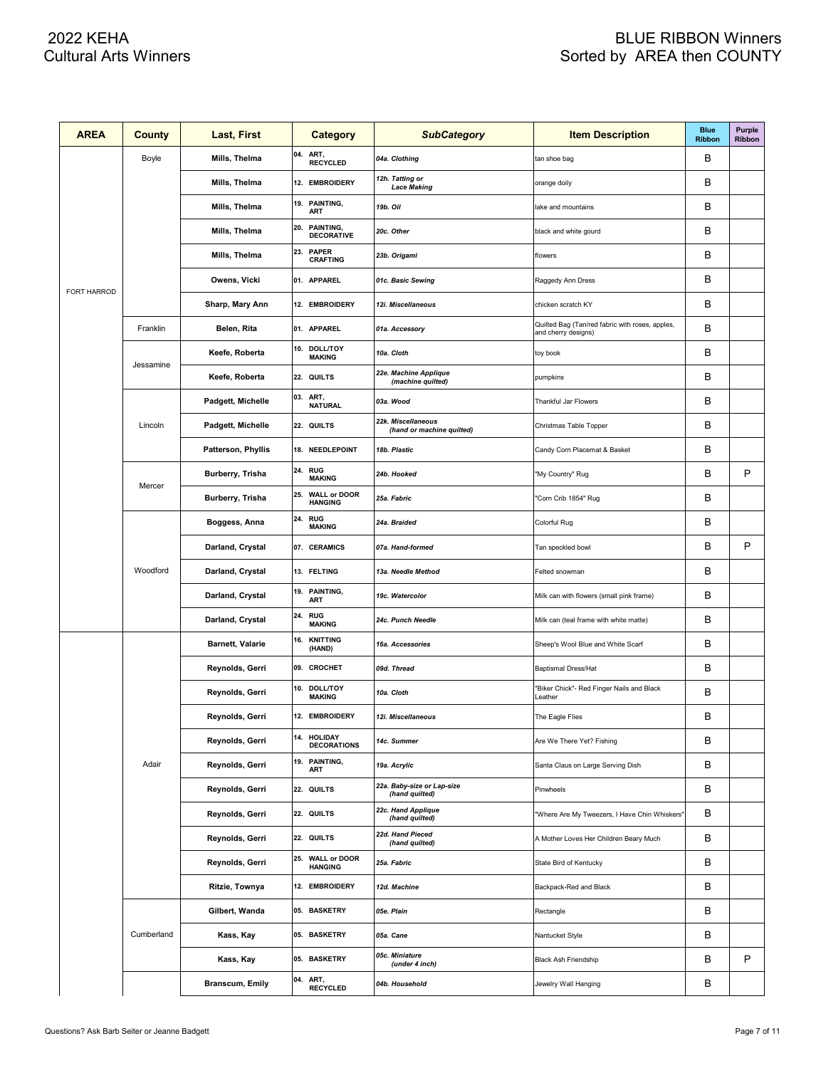| <b>AREA</b>        | County     | Last, First               | <b>Category</b>                              | <b>SubCategory</b>                              | <b>Item Description</b>                                                | <b>Blue</b><br><b>Ribbon</b> | Purple<br>Ribbon |
|--------------------|------------|---------------------------|----------------------------------------------|-------------------------------------------------|------------------------------------------------------------------------|------------------------------|------------------|
|                    | Boyle      | Mills, Thelma             | 04.<br>ART,<br><b>RECYCLED</b>               | 04a. Clothing                                   | tan shoe bag                                                           | в                            |                  |
|                    |            | Mills, Thelma             | 12. EMBROIDERY                               | 12h. Tatting or<br><b>Lace Making</b>           | orange doily                                                           | В                            |                  |
|                    |            | Mills, Thelma             | 19. PAINTING,<br><b>ART</b>                  | 19b. Oil                                        | lake and mountains                                                     | В                            |                  |
|                    |            | Mills, Thelma             | 20.<br>PAINTING,<br><b>DECORATIVE</b>        | 20c. Other                                      | black and white gourd                                                  | B                            |                  |
|                    |            | Mills, Thelma             | 23.<br><b>PAPER</b><br><b>CRAFTING</b>       | 23b. Origami                                    | flowers                                                                | B                            |                  |
|                    |            | Owens, Vicki              | 01. APPAREL                                  | 01c. Basic Sewing                               | Raggedy Ann Dress                                                      | B                            |                  |
| <b>FORT HARROD</b> |            | Sharp, Mary Ann           | 12. EMBROIDERY                               | 12i. Miscellaneous                              | chicken scratch KY                                                     | B                            |                  |
|                    | Franklin   | Belen, Rita               | 01. APPAREL                                  | 01a. Accessory                                  | Quilted Bag (Tan/red fabric with roses, apples,<br>and cherry designs) | B                            |                  |
|                    |            | Keefe, Roberta            | 10.<br><b>DOLL/TOY</b><br><b>MAKING</b>      | 10a. Cloth                                      | toy book                                                               | B                            |                  |
|                    | Jessamine  | Keefe, Roberta            | 22. QUILTS                                   | 22e. Machine Applique<br>(machine quilted)      | pumpkins                                                               | B                            |                  |
|                    |            | Padgett, Michelle         | 03.<br>ART,<br><b>NATURAL</b>                | 03a. Wood                                       | Thankful Jar Flowers                                                   | B                            |                  |
|                    | Lincoln    | Padgett, Michelle         | 22. QUILTS                                   | 22k. Miscellaneous<br>(hand or machine quilted) | Christmas Table Topper                                                 | B                            |                  |
|                    |            | <b>Patterson, Phyllis</b> | 18. NEEDLEPOINT                              | 18b. Plastic                                    | Candy Corn Placemat & Basket                                           | B                            |                  |
|                    | Mercer     | Burberry, Trisha          | 24.<br><b>RUG</b><br><b>MAKING</b>           | 24b. Hooked                                     | "My Country" Rug                                                       | B                            | P                |
|                    |            | Burberry, Trisha          | <b>WALL or DOOR</b><br>25.<br><b>HANGING</b> | 25a. Fabric                                     | 'Corn Crib 1854" Rug                                                   | B                            |                  |
|                    |            | Boggess, Anna             | <b>24. RUG</b><br><b>MAKING</b>              | 24a. Braided                                    | Colorful Rug                                                           | B                            |                  |
|                    | Woodford   | Darland, Crystal          | 07. CERAMICS                                 | 07a. Hand-formed                                | Tan speckled bowl                                                      | B                            | P                |
|                    |            | Darland, Crystal          | 13. FELTING                                  | 13a. Needle Method                              | Felted snowman                                                         | B                            |                  |
|                    |            | Darland, Crystal          | 19. PAINTING,<br>ART                         | 19c. Watercolor                                 | Milk can with flowers (small pink frame)                               | B                            |                  |
|                    |            | Darland, Crystal          | 24.<br><b>RUG</b><br><b>MAKING</b>           | 24c. Punch Needle                               | Milk can (teal frame with white matte)                                 | B                            |                  |
|                    |            | <b>Barnett, Valarie</b>   | <b>KNITTING</b><br>16.<br>(HAND)             | 16a. Accessories                                | Sheep's Wool Blue and White Scarf                                      | B                            |                  |
|                    |            | Reynolds, Gerri           | 09. CROCHET                                  | 09d. Thread                                     | <b>Baptismal Dress/Hat</b>                                             | B                            |                  |
|                    |            | Reynolds, Gerri           | 10. DOLL/TOY<br><b>MAKING</b>                | 10a. Cloth                                      | 'Biker Chick"- Red Finger Nails and Black<br>Leather                   | B                            |                  |
|                    |            | Reynolds, Gerri           | 12. EMBROIDERY                               | 12i. Miscellaneous                              | The Eagle Flies                                                        | B                            |                  |
|                    |            | Reynolds, Gerri           | 14. HOLIDAY<br><b>DECORATIONS</b>            | 14c. Summer                                     | Are We There Yet? Fishing                                              | В                            |                  |
|                    | Adair      | Reynolds, Gerri           | 19. PAINTING,<br>ART                         | 19a. Acrylic                                    | Santa Claus on Large Serving Dish                                      | В                            |                  |
|                    |            | Reynolds, Gerri           | 22. QUILTS                                   | 22a. Baby-size or Lap-size<br>(hand quilted)    | Pinwheels                                                              | в                            |                  |
|                    |            | Reynolds, Gerri           | 22. QUILTS                                   | 22c. Hand Applique<br>(hand quilted)            | "Where Are My Tweezers, I Have Chin Whiskers"                          | В                            |                  |
|                    |            | Reynolds, Gerri           | 22. QUILTS                                   | 22d. Hand Pieced<br>(hand quilted)              | A Mother Loves Her Children Beary Much                                 | В                            |                  |
|                    |            | Reynolds, Gerri           | 25. WALL or DOOR<br><b>HANGING</b>           | 25a. Fabric                                     | State Bird of Kentucky                                                 | В                            |                  |
|                    |            | Ritzie, Townya            | 12. EMBROIDERY                               | 12d. Machine                                    | Backpack-Red and Black                                                 | В                            |                  |
|                    |            | Gilbert, Wanda            | 05. BASKETRY                                 | 05e. Plain                                      | Rectangle                                                              | В                            |                  |
|                    | Cumberland | Kass, Kay                 | 05. BASKETRY                                 | 05a. Cane                                       | Nantucket Style                                                        | в                            |                  |
|                    |            | Kass, Kay                 | 05. BASKETRY                                 | 05c. Miniature<br>(under 4 inch)                | Black Ash Friendship                                                   | В                            | P                |
|                    |            | <b>Branscum, Emily</b>    | 04. ART,<br><b>RECYCLED</b>                  | 04b. Household                                  | Jewelry Wall Hanging                                                   | В                            |                  |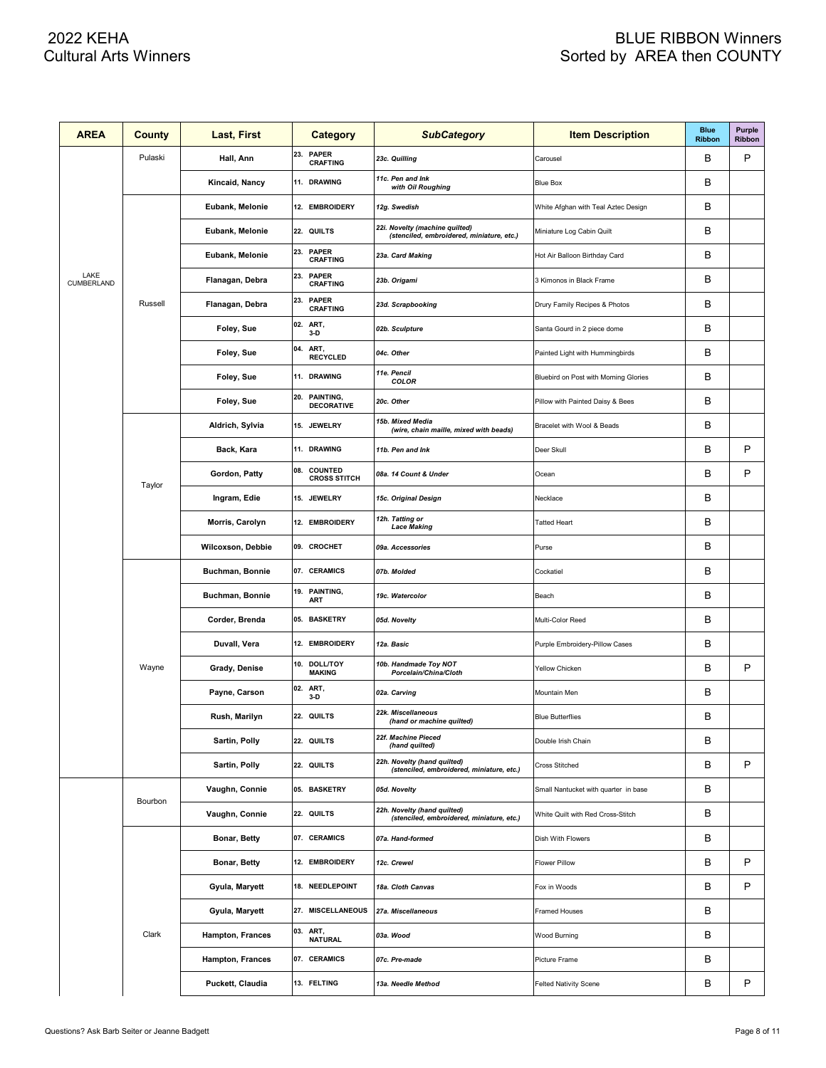| <b>AREA</b>        | County  | Last, First       | Category                               | <b>SubCategory</b>                                                          | <b>Item Description</b>               | <b>Blue</b><br><b>Ribbon</b> | Purple<br>Ribbon |
|--------------------|---------|-------------------|----------------------------------------|-----------------------------------------------------------------------------|---------------------------------------|------------------------------|------------------|
|                    | Pulaski | Hall, Ann         | 23.<br><b>PAPER</b><br><b>CRAFTING</b> | 23c. Quilling                                                               | Carousel                              | В                            | P                |
|                    |         | Kincaid, Nancy    | 11. DRAWING                            | 11c. Pen and Ink<br>with Oil Roughing                                       | <b>Blue Box</b>                       | В                            |                  |
|                    |         | Eubank, Melonie   | 12. EMBROIDERY                         | 12g. Swedish                                                                | White Afghan with Teal Aztec Design   | В                            |                  |
|                    |         | Eubank, Melonie   | 22. QUILTS                             | 22i. Novelty (machine quilted)<br>(stenciled, embroidered, miniature, etc.) | Miniature Log Cabin Quilt             | В                            |                  |
|                    |         | Eubank, Melonie   | 23. PAPER<br><b>CRAFTING</b>           | 23a. Card Making                                                            | Hot Air Balloon Birthday Card         | В                            |                  |
| LAKE<br>CUMBERLAND |         | Flanagan, Debra   | 23. PAPER<br><b>CRAFTING</b>           | 23b. Origami                                                                | 3 Kimonos in Black Frame              | В                            |                  |
|                    | Russell | Flanagan, Debra   | 23. PAPER<br><b>CRAFTING</b>           | 23d. Scrapbooking                                                           | Drury Family Recipes & Photos         | В                            |                  |
|                    |         | Foley, Sue        | 02. ART,<br>$3-D$                      | 02b. Sculpture                                                              | Santa Gourd in 2 piece dome           | В                            |                  |
|                    |         | Foley, Sue        | 04.<br>ART,<br><b>RECYCLED</b>         | 04c. Other                                                                  | Painted Light with Hummingbirds       | В                            |                  |
|                    |         | Foley, Sue        | 11. DRAWING                            | 11e. Pencil<br><b>COLOR</b>                                                 | Bluebird on Post with Morning Glories | В                            |                  |
|                    |         | Foley, Sue        | 20. PAINTING,<br><b>DECORATIVE</b>     | 20c. Other                                                                  | Pillow with Painted Daisy & Bees      | В                            |                  |
|                    |         | Aldrich, Sylvia   | 15. JEWELRY                            | 15b. Mixed Media<br>(wire, chain maille, mixed with beads)                  | Bracelet with Wool & Beads            | В                            |                  |
|                    |         | Back, Kara        | 11. DRAWING                            | 11b. Pen and Ink                                                            | Deer Skull                            | В                            | P                |
|                    | Taylor  | Gordon, Patty     | 08. COUNTED<br><b>CROSS STITCH</b>     | 08a. 14 Count & Under                                                       | Ocean                                 | B                            | P                |
|                    |         | Ingram, Edie      | 15. JEWELRY                            | 15c. Original Design                                                        | Necklace                              | В                            |                  |
|                    |         | Morris, Carolyn   | 12. EMBROIDERY                         | 12h. Tatting or<br><b>Lace Making</b>                                       | <b>Tatted Heart</b>                   | В                            |                  |
|                    |         | Wilcoxson, Debbie | 09. CROCHET                            | 09a. Accessories                                                            | Purse                                 | В                            |                  |
|                    |         | Buchman, Bonnie   | 07. CERAMICS                           | 07b. Molded                                                                 | Cockatiel                             | В                            |                  |
|                    |         | Buchman, Bonnie   | 19. PAINTING,<br><b>ART</b>            | 19c. Watercolor                                                             | Beach                                 | В                            |                  |
|                    |         | Corder, Brenda    | 05. BASKETRY                           | 05d. Novelty                                                                | Multi-Color Reed                      | В                            |                  |
|                    |         | Duvall, Vera      | 12. EMBROIDERY                         | 12a. Basic                                                                  | Purple Embroidery-Pillow Cases        | В                            |                  |
|                    | Wayne   | Grady, Denise     | 10. DOLL/TOY<br><b>MAKING</b>          | 10b. Handmade Toy NOT<br>Porcelain/China/Cloth                              | Yellow Chicken                        | В                            | P                |
|                    |         | Payne, Carson     | 02. ART,<br>$3-D$                      | 02a. Carving                                                                | Mountain Men                          | в                            |                  |
|                    |         | Rush, Marilyn     | 22. QUILTS                             | 22k. Miscellaneous<br>(hand or machine quilted)                             | <b>Blue Butterflies</b>               | B                            |                  |
|                    |         | Sartin, Polly     | 22. QUILTS                             | 22f. Machine Pieced<br>(hand quilted)                                       | Double Irish Chain                    | в                            |                  |
|                    |         | Sartin, Polly     | 22. QUILTS                             | 22h. Novelty (hand quilted)<br>(stenciled, embroidered, miniature, etc.)    | Cross Stitched                        | В                            | P                |
|                    | Bourbon | Vaughn, Connie    | 05. BASKETRY                           | 05d. Novelty                                                                | Small Nantucket with quarter in base  | В                            |                  |
|                    |         | Vaughn, Connie    | 22. QUILTS                             | 22h. Novelty (hand quilted)<br>(stenciled, embroidered, miniature, etc.)    | White Quilt with Red Cross-Stitch     | в                            |                  |
|                    |         | Bonar, Betty      | 07. CERAMICS                           | 07a. Hand-formed                                                            | Dish With Flowers                     | В                            |                  |
|                    |         | Bonar, Betty      | 12. EMBROIDERY                         | 12c. Crewel                                                                 | <b>Flower Pillow</b>                  | В                            | P                |
|                    |         | Gyula, Maryett    | 18. NEEDLEPOINT                        | 18a. Cloth Canvas                                                           | Fox in Woods                          | в                            | P                |
|                    |         | Gyula, Maryett    | 27. MISCELLANEOUS                      | 27a. Miscellaneous                                                          | <b>Framed Houses</b>                  | В                            |                  |
|                    | Clark   | Hampton, Frances  | 03. ART,<br><b>NATURAL</b>             | 03a. Wood                                                                   | Wood Burning                          | В                            |                  |
|                    |         | Hampton, Frances  | 07. CERAMICS                           | 07c. Pre-made                                                               | Picture Frame                         | В                            |                  |
|                    |         | Puckett, Claudia  | 13. FELTING                            | 13a. Needle Method                                                          | <b>Felted Nativity Scene</b>          | В                            | P                |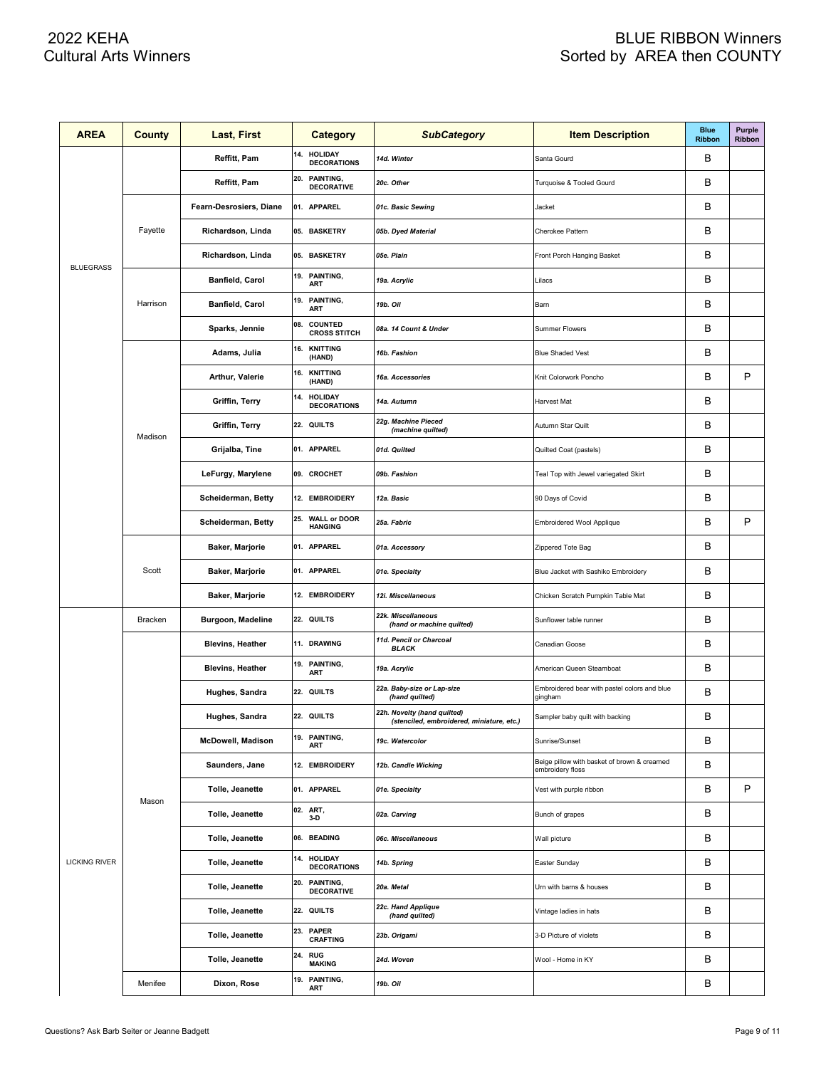| <b>AREA</b>          | County   | Last, First              | Category                                     | <b>SubCategory</b>                                                       | <b>Item Description</b>                                         | <b>Blue</b><br><b>Ribbon</b> | <b>Purple</b><br>Ribbon |
|----------------------|----------|--------------------------|----------------------------------------------|--------------------------------------------------------------------------|-----------------------------------------------------------------|------------------------------|-------------------------|
|                      |          | Reffitt, Pam             | 14.<br><b>HOLIDAY</b><br><b>DECORATIONS</b>  | 14d. Winter                                                              | Santa Gourd                                                     | В                            |                         |
|                      |          | Reffitt, Pam             | 20.<br>PAINTING,<br><b>DECORATIVE</b>        | 20c. Other                                                               | Turquoise & Tooled Gourd                                        | B                            |                         |
|                      |          | Fearn-Desrosiers, Diane  | 01. APPAREL                                  | 01c. Basic Sewing                                                        | Jacket                                                          | B                            |                         |
|                      | Fayette  | Richardson, Linda        | 05. BASKETRY                                 | 05b. Dyed Material                                                       | Cherokee Pattern                                                | B                            |                         |
|                      |          | Richardson, Linda        | 05. BASKETRY                                 | 05e. Plain                                                               | Front Porch Hanging Basket                                      | B                            |                         |
| <b>BLUEGRASS</b>     |          | Banfield, Carol          | 19. PAINTING,<br><b>ART</b>                  | 19a. Acrylic                                                             | Lilacs                                                          | B                            |                         |
|                      | Harrison | Banfield, Carol          | 19.<br>PAINTING,<br>ART                      | 19b. Oil                                                                 | Barn                                                            | B                            |                         |
|                      |          | Sparks, Jennie           | COUNTED<br>08.<br><b>CROSS STITCH</b>        | 08a. 14 Count & Under                                                    | Summer Flowers                                                  | B                            |                         |
|                      |          | Adams, Julia             | 16.<br><b>KNITTING</b><br>(HAND)             | 16b. Fashion                                                             | <b>Blue Shaded Vest</b>                                         | B                            |                         |
|                      |          | Arthur, Valerie          | 16.<br><b>KNITTING</b><br>(HAND)             | 16a. Accessories                                                         | Knit Colorwork Poncho                                           | B                            | P                       |
|                      |          | Griffin, Terry           | 14.<br><b>HOLIDAY</b><br><b>DECORATIONS</b>  | 14a. Autumn                                                              | Harvest Mat                                                     | B                            |                         |
|                      |          | Griffin, Terry           | 22. QUILTS                                   | 22g. Machine Pieced<br>(machine quilted)                                 | Autumn Star Quilt                                               | B                            |                         |
|                      | Madison  | Grijalba, Tine           | 01. APPAREL                                  | 01d. Quilted                                                             | Quilted Coat (pastels)                                          | B                            |                         |
|                      |          | LeFurgy, Marylene        | 09. CROCHET                                  | 09b. Fashion                                                             | Teal Top with Jewel variegated Skirt                            | B                            |                         |
|                      |          | Scheiderman, Betty       | 12. EMBROIDERY                               | 12a. Basic                                                               | 90 Days of Covid                                                | B                            |                         |
|                      |          | Scheiderman, Betty       | 25.<br><b>WALL or DOOR</b><br><b>HANGING</b> | 25a. Fabric                                                              | Embroidered Wool Applique                                       | B                            | P                       |
|                      |          | <b>Baker, Marjorie</b>   | 01. APPAREL                                  | 01a. Accessory                                                           | Zippered Tote Bag                                               | B                            |                         |
|                      | Scott    | Baker, Marjorie          | 01. APPAREL                                  | 01e. Specialty                                                           | Blue Jacket with Sashiko Embroidery                             | B                            |                         |
|                      |          | <b>Baker, Marjorie</b>   | 12. EMBROIDERY                               | 12i. Miscellaneous                                                       | Chicken Scratch Pumpkin Table Mat                               | B                            |                         |
|                      | Bracken  | Burgoon, Madeline        | 22. QUILTS                                   | 22k. Miscellaneous<br>(hand or machine quilted)                          | Sunflower table runner                                          | B                            |                         |
|                      |          | <b>Blevins, Heather</b>  | 11. DRAWING                                  | 11d. Pencil or Charcoal<br><b>BLACK</b>                                  | Canadian Goose                                                  | B                            |                         |
|                      |          | <b>Blevins, Heather</b>  | 19. PAINTING,<br><b>ART</b>                  | 19a. Acrylic                                                             | American Queen Steamboat                                        | B                            |                         |
|                      |          | Hughes, Sandra           | 22. QUILTS                                   | 22a. Baby-size or Lap-size<br>(hand quilted)                             | Embroidered bear with pastel colors and blue<br>gingham         | B                            |                         |
|                      |          | Hughes, Sandra           | 22. QUILTS                                   | 22h. Novelty (hand quilted)<br>(stenciled, embroidered, miniature, etc.) | Sampler baby quilt with backing                                 | B                            |                         |
|                      |          | <b>McDowell, Madison</b> | 19. PAINTING,<br>ART                         | 19c. Watercolor                                                          | Sunrise/Sunset                                                  | B                            |                         |
|                      |          | Saunders, Jane           | 12. EMBROIDERY                               | 12b. Candle Wicking                                                      | Beige pillow with basket of brown & creamed<br>embroidery floss | B                            |                         |
|                      | Mason    | Tolle, Jeanette          | 01. APPAREL                                  | 01e. Specialty                                                           | Vest with purple ribbon                                         | B                            | P                       |
|                      |          | Tolle, Jeanette          | 02. ART,<br>$3-D$                            | 02a. Carving                                                             | Bunch of grapes                                                 | B                            |                         |
|                      |          | Tolle, Jeanette          | 06. BEADING                                  | 06c. Miscellaneous                                                       | Wall picture                                                    | B                            |                         |
| <b>LICKING RIVER</b> |          | Tolle, Jeanette          | 14. HOLIDAY<br><b>DECORATIONS</b>            | 14b. Spring                                                              | Easter Sunday                                                   | B                            |                         |
|                      |          | Tolle, Jeanette          | 20. PAINTING,<br><b>DECORATIVE</b>           | 20a. Metal                                                               | Urn with barns & houses                                         | B                            |                         |
|                      |          | Tolle, Jeanette          | 22. QUILTS                                   | 22c. Hand Applique<br>(hand quilted)                                     | Vintage ladies in hats                                          | B                            |                         |
|                      |          | Tolle, Jeanette          | 23. PAPER<br><b>CRAFTING</b>                 | 23b. Origami                                                             | 3-D Picture of violets                                          | в                            |                         |
|                      |          | Tolle, Jeanette          | 24. RUG<br><b>MAKING</b>                     | 24d. Woven                                                               | Wool - Home in KY                                               | в                            |                         |
|                      | Menifee  | Dixon, Rose              | 19. PAINTING,<br>ART                         | 19b. Oil                                                                 |                                                                 | В                            |                         |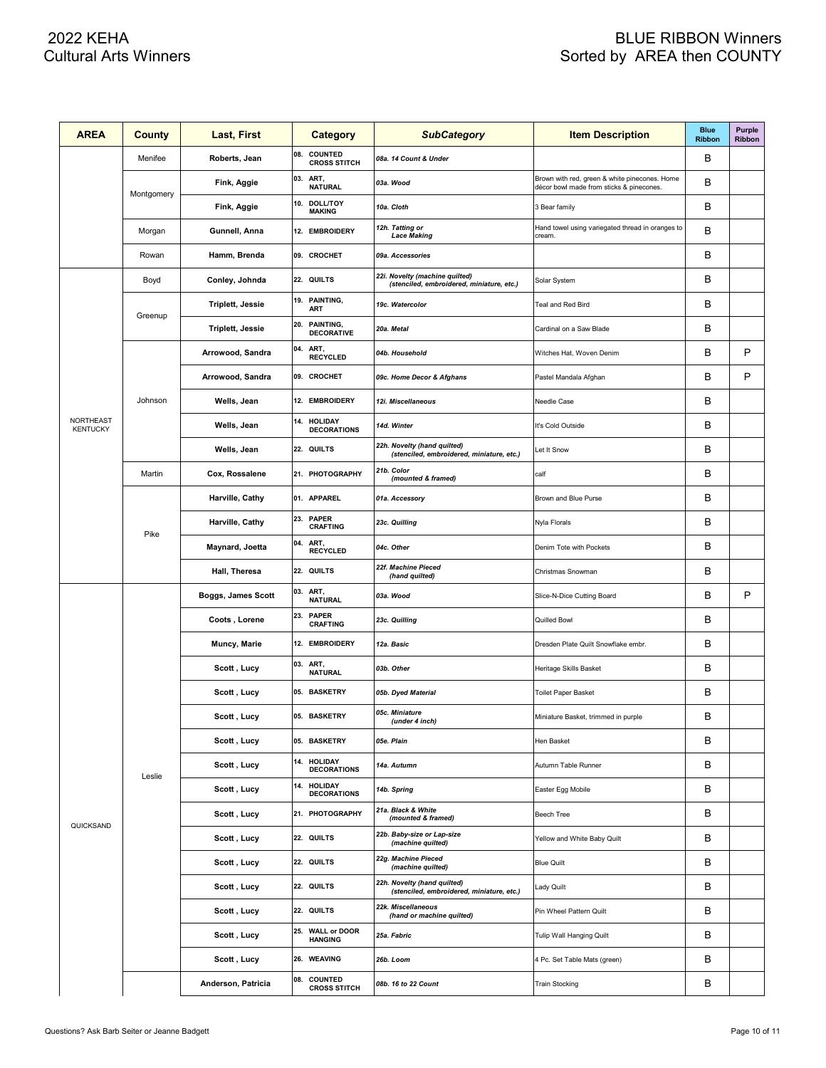| <b>AREA</b>                         | <b>County</b> | Last, First             |     | <b>Category</b>                       | <b>SubCategory</b>                                                          | <b>Item Description</b>                                                                   | <b>Blue</b><br><b>Ribbon</b> | Purple<br>Ribbon |
|-------------------------------------|---------------|-------------------------|-----|---------------------------------------|-----------------------------------------------------------------------------|-------------------------------------------------------------------------------------------|------------------------------|------------------|
|                                     | Menifee       | Roberts, Jean           | 08. | <b>COUNTED</b><br><b>CROSS STITCH</b> | 08a. 14 Count & Under                                                       |                                                                                           | в                            |                  |
|                                     |               | Fink, Aggie             | 03. | ART,<br><b>NATURAL</b>                | 03a. Wood                                                                   | Brown with red, green & white pinecones. Home<br>décor bowl made from sticks & pinecones. | B                            |                  |
|                                     | Montgomery    | Fink, Aggie             | 10. | <b>DOLL/TOY</b><br><b>MAKING</b>      | 10a. Cloth                                                                  | 3 Bear family                                                                             | B                            |                  |
|                                     | Morgan        | Gunnell, Anna           |     | 12. EMBROIDERY                        | 12h. Tatting or<br><b>Lace Making</b>                                       | Hand towel using variegated thread in oranges to<br>cream.                                | B                            |                  |
|                                     | Rowan         | Hamm, Brenda            |     | 09. CROCHET                           | 09a. Accessories                                                            |                                                                                           | B                            |                  |
|                                     | Boyd          | Conley, Johnda          |     | 22. QUILTS                            | 22i. Novelty (machine quilted)<br>(stenciled, embroidered, miniature, etc.) | Solar System                                                                              | B                            |                  |
|                                     |               | <b>Triplett, Jessie</b> |     | 19. PAINTING,<br><b>ART</b>           | 19c. Watercolor                                                             | Teal and Red Bird                                                                         | B                            |                  |
|                                     | Greenup       | Triplett, Jessie        | 20. | PAINTING,<br><b>DECORATIVE</b>        | 20a. Metal                                                                  | Cardinal on a Saw Blade                                                                   | B                            |                  |
|                                     |               | Arrowood, Sandra        | 04. | ART,<br><b>RECYCLED</b>               | 04b. Household                                                              | Witches Hat, Woven Denim                                                                  | B                            | P                |
|                                     |               | Arrowood, Sandra        |     | 09. CROCHET                           | 09c. Home Decor & Afghans                                                   | Pastel Mandala Afghan                                                                     | B                            | P                |
|                                     | Johnson       | Wells, Jean             |     | 12. EMBROIDERY                        | 12i. Miscellaneous                                                          | Needle Case                                                                               | B                            |                  |
| <b>NORTHEAST</b><br><b>KENTUCKY</b> |               | Wells, Jean             | 14. | <b>HOLIDAY</b><br><b>DECORATIONS</b>  | 14d. Winter                                                                 | It's Cold Outside                                                                         | B                            |                  |
|                                     |               | Wells, Jean             |     | 22. QUILTS                            | 22h. Novelty (hand quilted)<br>(stenciled, embroidered, miniature, etc.)    | Let It Snow                                                                               | B                            |                  |
|                                     | Martin        | Cox, Rossalene          |     | 21. PHOTOGRAPHY                       | 21b. Color<br>(mounted & framed)                                            | calf                                                                                      | B                            |                  |
|                                     |               | Harville, Cathy         |     | 01. APPAREL                           | 01a. Accessory                                                              | Brown and Blue Purse                                                                      | B                            |                  |
|                                     | Pike          | Harville, Cathy         | 23. | <b>PAPER</b><br><b>CRAFTING</b>       | 23c. Quilling                                                               | Nyla Florals                                                                              | B                            |                  |
|                                     |               | Maynard, Joetta         | 04. | ART,<br><b>RECYCLED</b>               | 04c. Other                                                                  | Denim Tote with Pockets                                                                   | B                            |                  |
|                                     |               | Hall, Theresa           |     | 22. QUILTS                            | 22f. Machine Pieced<br>(hand quilted)                                       | Christmas Snowman                                                                         | B                            |                  |
|                                     |               | Boggs, James Scott      | 03. | ART,<br><b>NATURAL</b>                | 03a. Wood                                                                   | Slice-N-Dice Cutting Board                                                                | B                            | P                |
|                                     |               | Coots, Lorene           | 23. | <b>PAPER</b><br><b>CRAFTING</b>       | 23c. Quilling                                                               | Quilled Bowl                                                                              | B                            |                  |
|                                     |               | Muncy, Marie            |     | 12. EMBROIDERY                        | 12a. Basic                                                                  | Dresden Plate Quilt Snowflake embr.                                                       | B                            |                  |
|                                     |               | Scott, Lucy             | 03. | ART,<br><b>NATURAL</b>                | 03b. Other                                                                  | Heritage Skills Basket                                                                    | B                            |                  |
|                                     |               | Scott, Lucy             |     | 05. BASKETRY                          | 05b. Dyed Material                                                          | Toilet Paper Basket                                                                       | В                            |                  |
|                                     |               | Scott , Lucy            |     | 05. BASKETRY                          | 05c. Miniature<br>(under 4 inch)                                            | Miniature Basket, trimmed in purple                                                       | B                            |                  |
|                                     |               | Scott, Lucy             |     | 05. BASKETRY                          | 05e. Plain                                                                  | Hen Basket                                                                                | В                            |                  |
|                                     | Leslie        | Scott, Lucy             |     | 14. HOLIDAY<br><b>DECORATIONS</b>     | 14a. Autumn                                                                 | Autumn Table Runner                                                                       | В                            |                  |
|                                     |               | Scott, Lucy             | 14. | <b>HOLIDAY</b><br><b>DECORATIONS</b>  | 14b. Spring                                                                 | Easter Egg Mobile                                                                         | В                            |                  |
|                                     |               | Scott, Lucy             |     | 21. PHOTOGRAPHY                       | 21a. Black & White<br>(mounted & framed)                                    | Beech Tree                                                                                | В                            |                  |
| QUICKSAND                           |               | Scott, Lucy             |     | 22. QUILTS                            | 22b. Baby-size or Lap-size<br>(machine quilted)                             | Yellow and White Baby Quilt                                                               | В                            |                  |
|                                     |               | Scott, Lucy             |     | 22. QUILTS                            | 22g. Machine Pieced<br>(machine quilted)                                    | <b>Blue Quilt</b>                                                                         | В                            |                  |
|                                     |               | Scott, Lucy             |     | 22. QUILTS                            | 22h. Novelty (hand quilted)<br>(stenciled, embroidered, miniature, etc.)    | Lady Quilt                                                                                | В                            |                  |
|                                     |               | Scott, Lucy             |     | 22. QUILTS                            | 22k. Miscellaneous<br>(hand or machine quilted)                             | Pin Wheel Pattern Quilt                                                                   | В                            |                  |
|                                     |               | Scott, Lucy             | 25. | <b>WALL or DOOR</b><br><b>HANGING</b> | 25a. Fabric                                                                 | Tulip Wall Hanging Quilt                                                                  | В                            |                  |
|                                     |               | Scott, Lucy             |     | 26. WEAVING                           | 26b. Loom                                                                   | 4 Pc. Set Table Mats (green)                                                              | В                            |                  |
|                                     |               | Anderson, Patricia      | 08. | <b>COUNTED</b><br><b>CROSS STITCH</b> | 08b. 16 to 22 Count                                                         | <b>Train Stocking</b>                                                                     | В                            |                  |